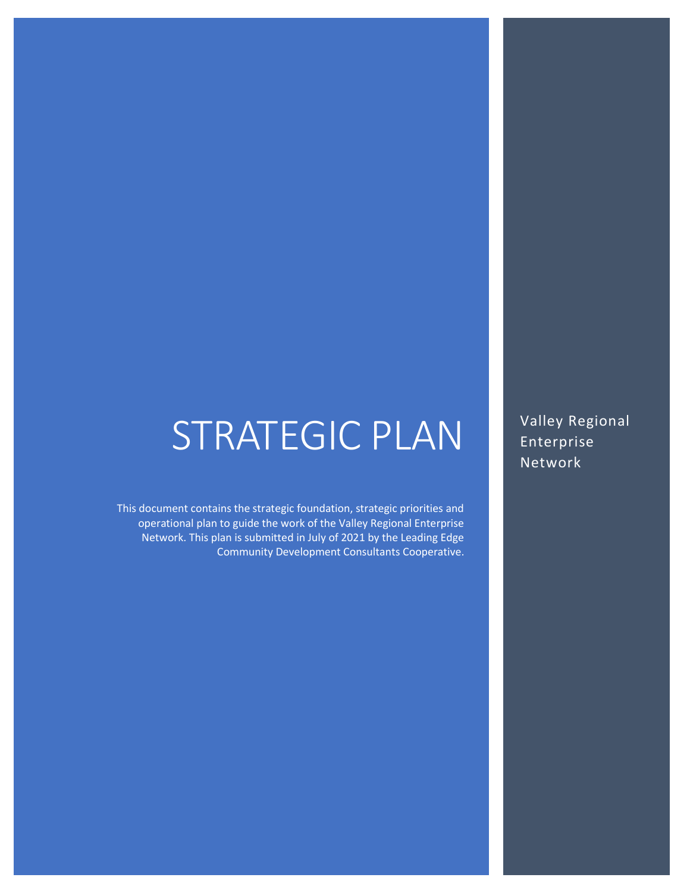# STRATEGIC PLAN

This document contains the strategic foundation, strategic priorities and operational plan to guide the work of the Valley Regional Enterprise Network. This plan is submitted in July of 2021 by the Leading Edge Community Development Consultants Cooperative. Valley Regional Enterprise Network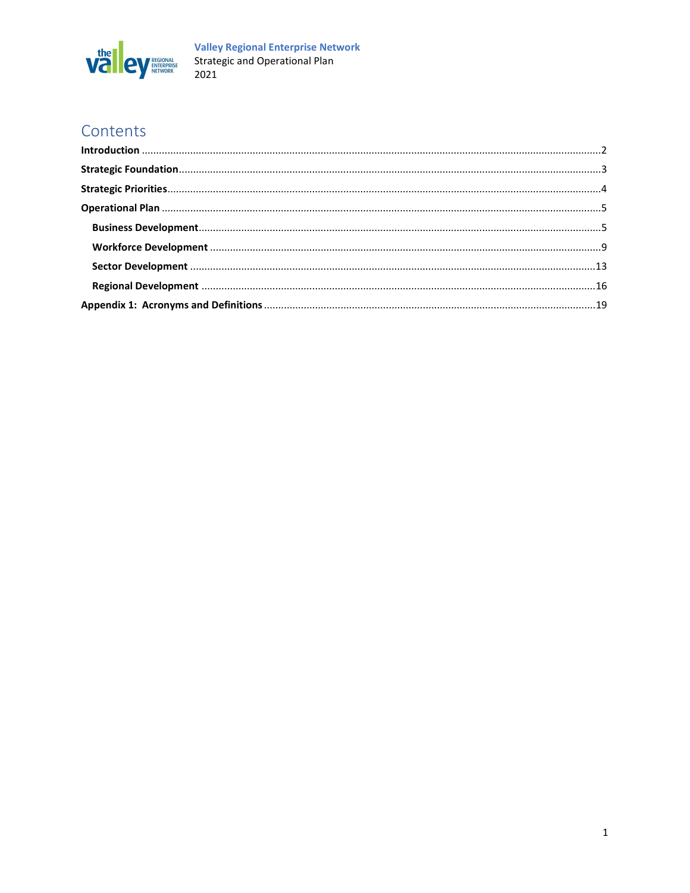

# Contents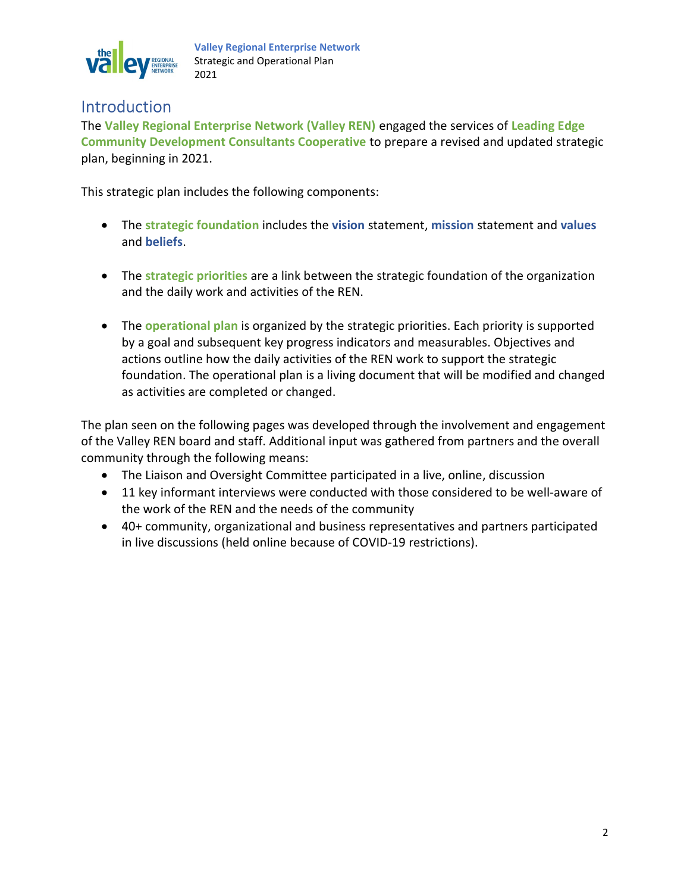

# **Introduction**

The Valley Regional Enterprise Network (Valley REN) engaged the services of Leading Edge Community Development Consultants Cooperative to prepare a revised and updated strategic plan, beginning in 2021.

This strategic plan includes the following components:

- The strategic foundation includes the vision statement, mission statement and values and beliefs.
- The strategic priorities are a link between the strategic foundation of the organization and the daily work and activities of the REN.
- The operational plan is organized by the strategic priorities. Each priority is supported by a goal and subsequent key progress indicators and measurables. Objectives and actions outline how the daily activities of the REN work to support the strategic foundation. The operational plan is a living document that will be modified and changed as activities are completed or changed.

The plan seen on the following pages was developed through the involvement and engagement of the Valley REN board and staff. Additional input was gathered from partners and the overall community through the following means:

- The Liaison and Oversight Committee participated in a live, online, discussion
- 11 key informant interviews were conducted with those considered to be well-aware of the work of the REN and the needs of the community
- 40+ community, organizational and business representatives and partners participated in live discussions (held online because of COVID-19 restrictions).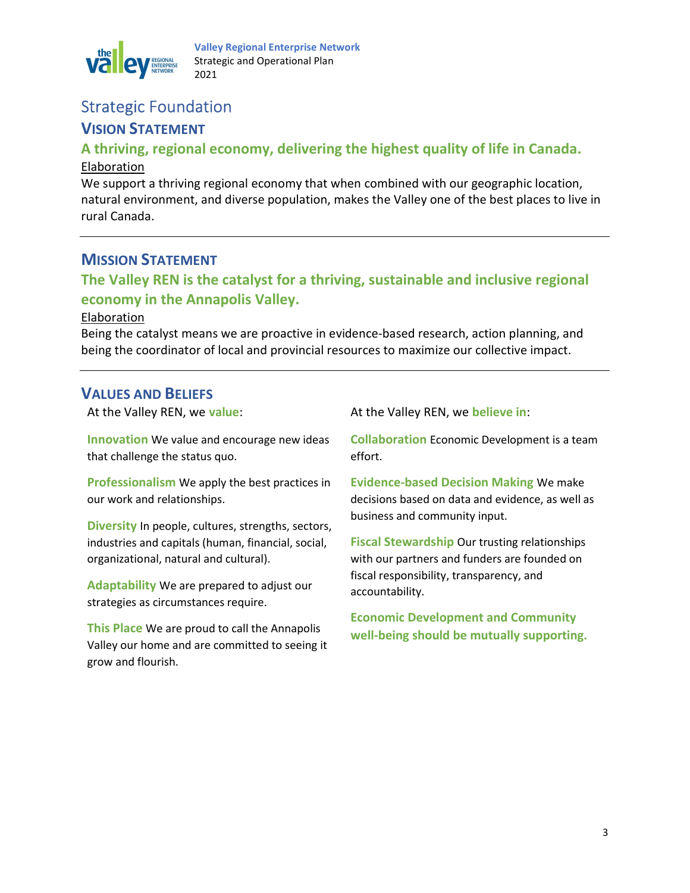

### Strategic Foundation

### VISION STATEMENT

#### A thriving, regional economy, delivering the highest quality of life in Canada. Elaboration

We support a thriving regional economy that when combined with our geographic location, natural environment, and diverse population, makes the Valley one of the best places to live in rural Canada.

### MISSION STATEMENT

### The Valley REN is the catalyst for a thriving, sustainable and inclusive regional economy in the Annapolis Valley.

#### Elaboration

Being the catalyst means we are proactive in evidence-based research, action planning, and being the coordinator of local and provincial resources to maximize our collective impact.

#### VALUES AND BELIEFS

At the Valley REN, we value:

Innovation We value and encourage new ideas that challenge the status quo.

Professionalism We apply the best practices in our work and relationships.

Diversity In people, cultures, strengths, sectors, industries and capitals (human, financial, social, organizational, natural and cultural).

Adaptability We are prepared to adjust our strategies as circumstances require.

This Place We are proud to call the Annapolis Valley our home and are committed to seeing it grow and flourish.

At the Valley REN, we believe in:

Collaboration Economic Development is a team effort.

Evidence-based Decision Making We make decisions based on data and evidence, as well as business and community input.

Fiscal Stewardship Our trusting relationships with our partners and funders are founded on fiscal responsibility, transparency, and accountability.

Economic Development and Community well-being should be mutually supporting.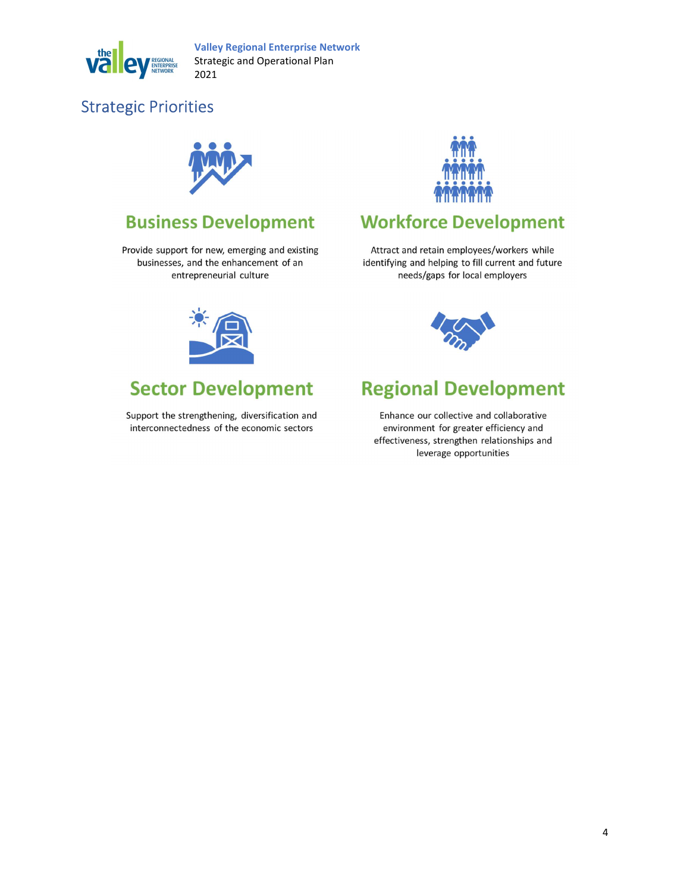

# Strategic Priorities



# **Business Development**

Provide support for new, emerging and existing businesses, and the enhancement of an entrepreneurial culture



# **Sector Development**

Support the strengthening, diversification and interconnectedness of the economic sectors



# **Workforce Development**

Attract and retain employees/workers while identifying and helping to fill current and future needs/gaps for local employers



# **Regional Development**

Enhance our collective and collaborative environment for greater efficiency and effectiveness, strengthen relationships and leverage opportunities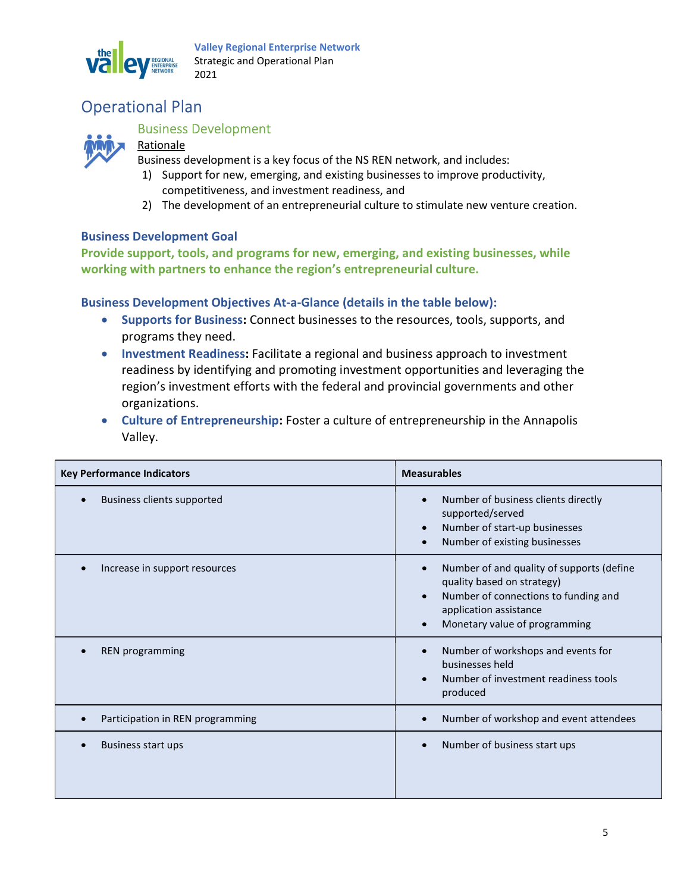

# Operational Plan



#### Business Development

#### Rationale

Business development is a key focus of the NS REN network, and includes:

- 1) Support for new, emerging, and existing businesses to improve productivity, competitiveness, and investment readiness, and
- 2) The development of an entrepreneurial culture to stimulate new venture creation.

#### Business Development Goal

Provide support, tools, and programs for new, emerging, and existing businesses, while working with partners to enhance the region's entrepreneurial culture.

#### Business Development Objectives At-a-Glance (details in the table below):

- Supports for Business: Connect businesses to the resources, tools, supports, and programs they need.
- Investment Readiness: Facilitate a regional and business approach to investment readiness by identifying and promoting investment opportunities and leveraging the region's investment efforts with the federal and provincial governments and other organizations.
- Culture of Entrepreneurship: Foster a culture of entrepreneurship in the Annapolis Valley.

| <b>Key Performance Indicators</b> | <b>Measurables</b>                                                                                                                                                                                                 |
|-----------------------------------|--------------------------------------------------------------------------------------------------------------------------------------------------------------------------------------------------------------------|
| <b>Business clients supported</b> | Number of business clients directly<br>$\bullet$<br>supported/served<br>Number of start-up businesses<br>$\bullet$<br>Number of existing businesses                                                                |
| Increase in support resources     | Number of and quality of supports (define<br>$\bullet$<br>quality based on strategy)<br>Number of connections to funding and<br>$\bullet$<br>application assistance<br>Monetary value of programming<br>$\epsilon$ |
| <b>REN</b> programming            | Number of workshops and events for<br>$\bullet$<br>businesses held<br>Number of investment readiness tools<br>$\bullet$<br>produced                                                                                |
| Participation in REN programming  | Number of workshop and event attendees                                                                                                                                                                             |
| Business start ups                | Number of business start ups                                                                                                                                                                                       |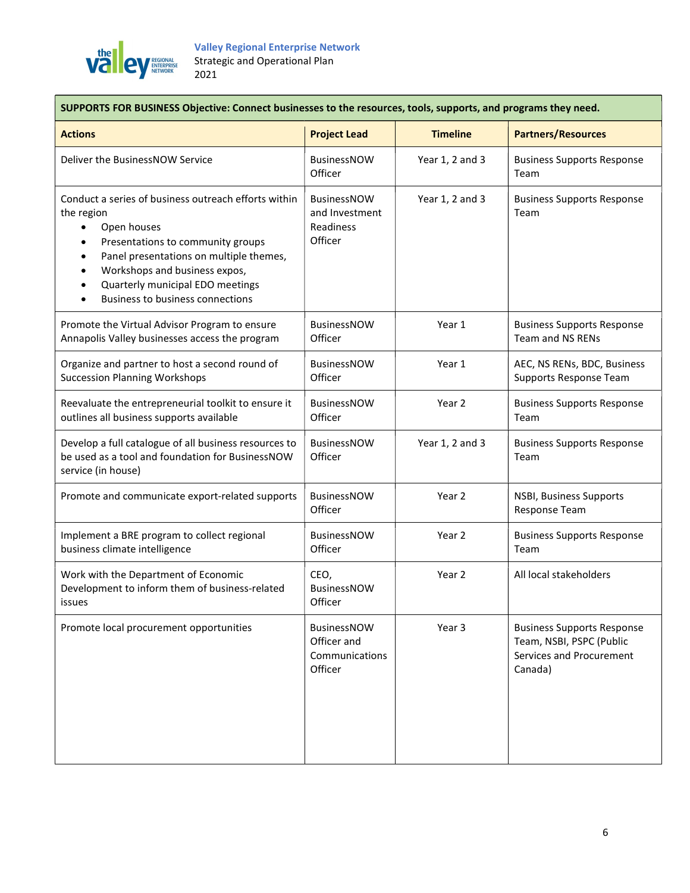

| SUPPORTS FOR BUSINESS Objective: Connect businesses to the resources, tools, supports, and programs they need.                                                                                                                                                                                           |                                                              |                 |                                                                                                      |
|----------------------------------------------------------------------------------------------------------------------------------------------------------------------------------------------------------------------------------------------------------------------------------------------------------|--------------------------------------------------------------|-----------------|------------------------------------------------------------------------------------------------------|
| <b>Actions</b>                                                                                                                                                                                                                                                                                           | <b>Project Lead</b>                                          | <b>Timeline</b> | <b>Partners/Resources</b>                                                                            |
| Deliver the BusinessNOW Service                                                                                                                                                                                                                                                                          | <b>BusinessNOW</b><br>Officer                                | Year 1, 2 and 3 | <b>Business Supports Response</b><br>Team                                                            |
| Conduct a series of business outreach efforts within<br>the region<br>Open houses<br>$\bullet$<br>Presentations to community groups<br>٠<br>Panel presentations on multiple themes,<br>٠<br>Workshops and business expos,<br>Quarterly municipal EDO meetings<br><b>Business to business connections</b> | <b>BusinessNOW</b><br>and Investment<br>Readiness<br>Officer | Year 1, 2 and 3 | <b>Business Supports Response</b><br>Team                                                            |
| Promote the Virtual Advisor Program to ensure<br>Annapolis Valley businesses access the program                                                                                                                                                                                                          | BusinessNOW<br>Officer                                       | Year 1          | <b>Business Supports Response</b><br>Team and NS RENs                                                |
| Organize and partner to host a second round of<br><b>Succession Planning Workshops</b>                                                                                                                                                                                                                   | BusinessNOW<br>Officer                                       | Year 1          | AEC, NS RENs, BDC, Business<br>Supports Response Team                                                |
| Reevaluate the entrepreneurial toolkit to ensure it<br>outlines all business supports available                                                                                                                                                                                                          | <b>BusinessNOW</b><br>Officer                                | Year 2          | <b>Business Supports Response</b><br>Team                                                            |
| Develop a full catalogue of all business resources to<br>be used as a tool and foundation for BusinessNOW<br>service (in house)                                                                                                                                                                          | BusinessNOW<br>Officer                                       | Year 1, 2 and 3 | <b>Business Supports Response</b><br>Team                                                            |
| Promote and communicate export-related supports                                                                                                                                                                                                                                                          | BusinessNOW<br>Officer                                       | Year 2          | NSBI, Business Supports<br>Response Team                                                             |
| Implement a BRE program to collect regional<br>business climate intelligence                                                                                                                                                                                                                             | <b>BusinessNOW</b><br>Officer                                | Year 2          | <b>Business Supports Response</b><br>Team                                                            |
| Work with the Department of Economic<br>Development to inform them of business-related<br>issues                                                                                                                                                                                                         | CEO,<br>BusinessNOW<br>Officer                               | Year 2          | All local stakeholders                                                                               |
| Promote local procurement opportunities                                                                                                                                                                                                                                                                  | BusinessNOW<br>Officer and<br>Communications<br>Officer      | Year 3          | <b>Business Supports Response</b><br>Team, NSBI, PSPC (Public<br>Services and Procurement<br>Canada) |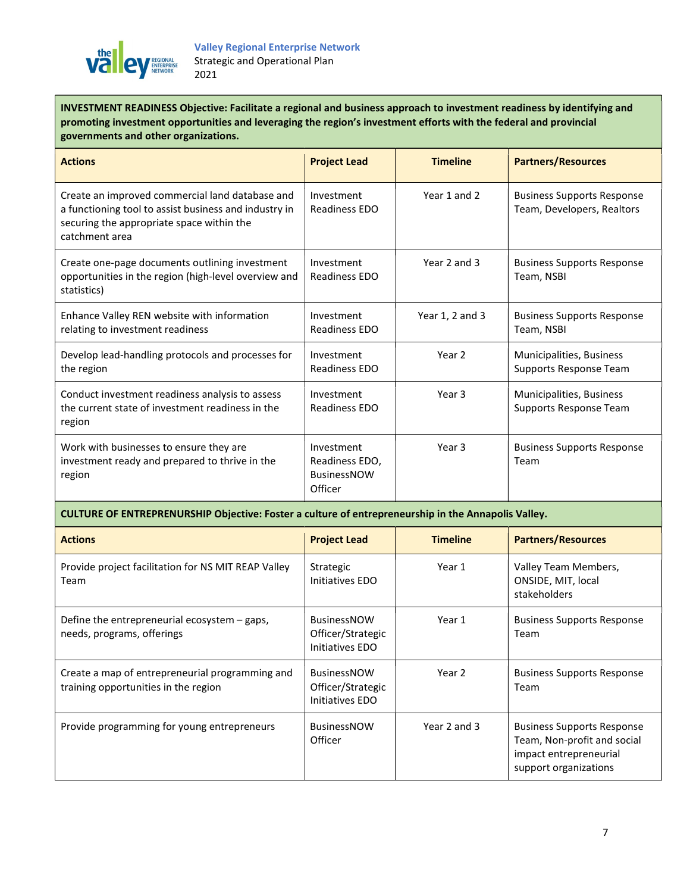

INVESTMENT READINESS Objective: Facilitate a regional and business approach to investment readiness by identifying and promoting investment opportunities and leveraging the region's investment efforts with the federal and provincial governments and other organizations.

| <b>Actions</b>                                                                                                                                                          | <b>Project Lead</b>                                           | <b>Timeline</b>   | <b>Partners/Resources</b>                                       |
|-------------------------------------------------------------------------------------------------------------------------------------------------------------------------|---------------------------------------------------------------|-------------------|-----------------------------------------------------------------|
| Create an improved commercial land database and<br>a functioning tool to assist business and industry in<br>securing the appropriate space within the<br>catchment area | Investment<br>Readiness EDO                                   | Year 1 and 2      | <b>Business Supports Response</b><br>Team, Developers, Realtors |
| Create one-page documents outlining investment<br>opportunities in the region (high-level overview and<br>statistics)                                                   | Investment<br>Readiness EDO                                   | Year 2 and 3      | <b>Business Supports Response</b><br>Team, NSBI                 |
| Enhance Valley REN website with information<br>relating to investment readiness                                                                                         | Investment<br>Readiness EDO                                   | Year 1, 2 and 3   | <b>Business Supports Response</b><br>Team, NSBI                 |
| Develop lead-handling protocols and processes for<br>the region                                                                                                         | Investment<br>Readiness EDO                                   | Year <sub>2</sub> | Municipalities, Business<br>Supports Response Team              |
| Conduct investment readiness analysis to assess<br>the current state of investment readiness in the<br>region                                                           | Investment<br>Readiness EDO                                   | Year 3            | Municipalities, Business<br>Supports Response Team              |
| Work with businesses to ensure they are<br>investment ready and prepared to thrive in the<br>region                                                                     | Investment<br>Readiness EDO,<br><b>BusinessNOW</b><br>Officer | Year <sub>3</sub> | <b>Business Supports Response</b><br>Team                       |

#### CULTURE OF ENTREPRENURSHIP Objective: Foster a culture of entrepreneurship in the Annapolis Valley.

| <b>Actions</b>                                                                          | <b>Project Lead</b>                                        | <b>Timeline</b> | <b>Partners/Resources</b>                                                                                           |
|-----------------------------------------------------------------------------------------|------------------------------------------------------------|-----------------|---------------------------------------------------------------------------------------------------------------------|
| Provide project facilitation for NS MIT REAP Valley<br>Team                             | Strategic<br>Initiatives EDO                               | Year 1          | Valley Team Members,<br>ONSIDE, MIT, local<br>stakeholders                                                          |
| Define the entrepreneurial ecosystem - gaps,<br>needs, programs, offerings              | <b>BusinessNOW</b><br>Officer/Strategic<br>Initiatives EDO | Year 1          | <b>Business Supports Response</b><br>Team                                                                           |
| Create a map of entrepreneurial programming and<br>training opportunities in the region | <b>BusinessNOW</b><br>Officer/Strategic<br>Initiatives EDO | Year 2          | <b>Business Supports Response</b><br>Team                                                                           |
| Provide programming for young entrepreneurs                                             | <b>BusinessNOW</b><br>Officer                              | Year 2 and 3    | <b>Business Supports Response</b><br>Team, Non-profit and social<br>impact entrepreneurial<br>support organizations |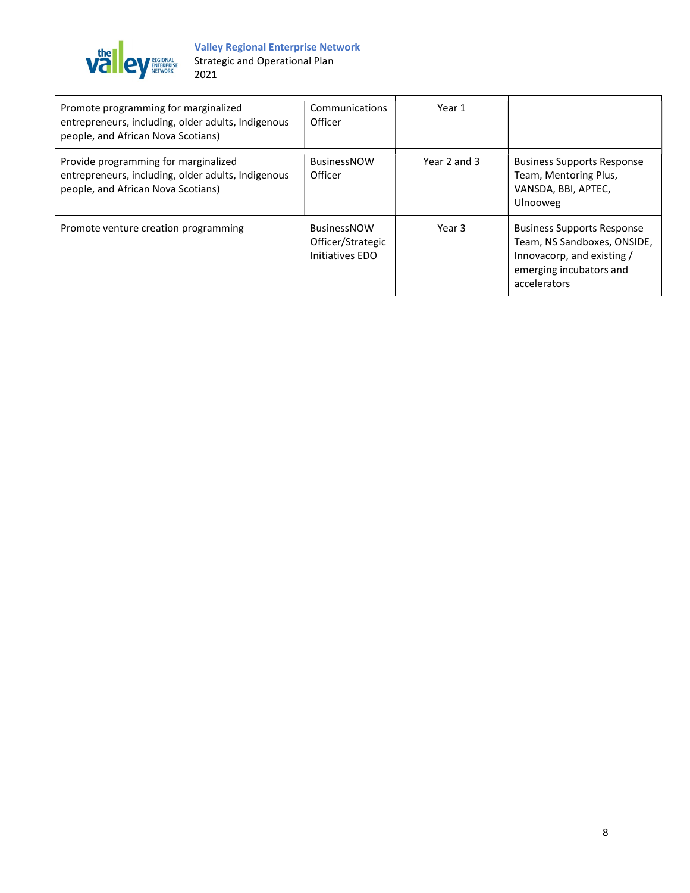

| Promote programming for marginalized<br>entrepreneurs, including, older adults, Indigenous<br>people, and African Nova Scotians) | Communications<br>Officer                                  | Year 1       |                                                                                                                                           |
|----------------------------------------------------------------------------------------------------------------------------------|------------------------------------------------------------|--------------|-------------------------------------------------------------------------------------------------------------------------------------------|
| Provide programming for marginalized<br>entrepreneurs, including, older adults, Indigenous<br>people, and African Nova Scotians) | <b>BusinessNOW</b><br>Officer                              | Year 2 and 3 | <b>Business Supports Response</b><br>Team, Mentoring Plus,<br>VANSDA, BBI, APTEC,<br>Ulnooweg                                             |
| Promote venture creation programming                                                                                             | <b>BusinessNOW</b><br>Officer/Strategic<br>Initiatives EDO | Year 3       | <b>Business Supports Response</b><br>Team, NS Sandboxes, ONSIDE,<br>Innovacorp, and existing /<br>emerging incubators and<br>accelerators |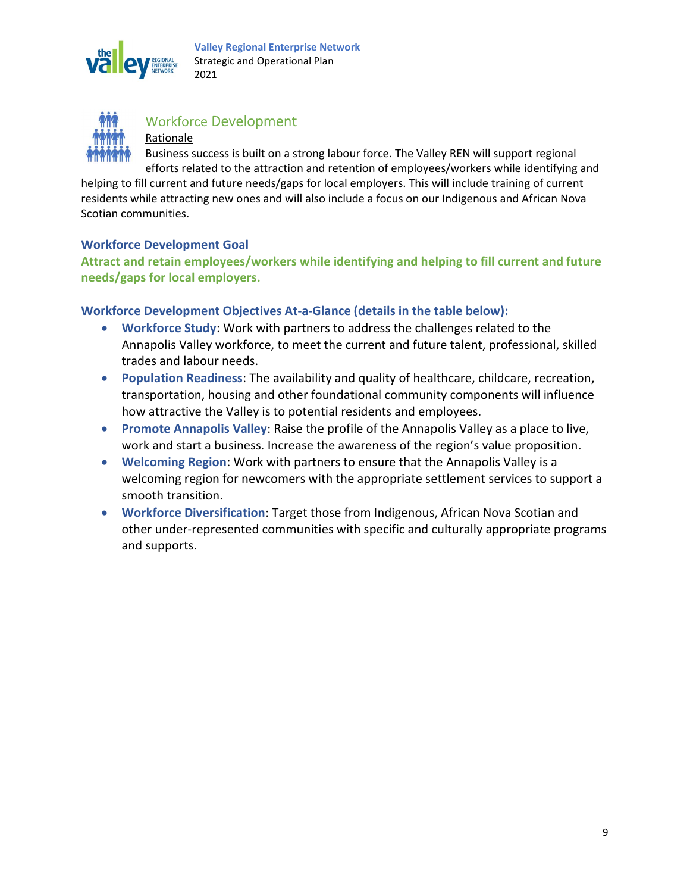



### Workforce Development

Rationale

Business success is built on a strong labour force. The Valley REN will support regional efforts related to the attraction and retention of employees/workers while identifying and

helping to fill current and future needs/gaps for local employers. This will include training of current residents while attracting new ones and will also include a focus on our Indigenous and African Nova Scotian communities.

#### Workforce Development Goal

Attract and retain employees/workers while identifying and helping to fill current and future needs/gaps for local employers.

#### Workforce Development Objectives At-a-Glance (details in the table below):

- Workforce Study: Work with partners to address the challenges related to the Annapolis Valley workforce, to meet the current and future talent, professional, skilled trades and labour needs.
- Population Readiness: The availability and quality of healthcare, childcare, recreation, transportation, housing and other foundational community components will influence how attractive the Valley is to potential residents and employees.
- Promote Annapolis Valley: Raise the profile of the Annapolis Valley as a place to live, work and start a business. Increase the awareness of the region's value proposition.
- Welcoming Region: Work with partners to ensure that the Annapolis Valley is a welcoming region for newcomers with the appropriate settlement services to support a smooth transition.
- Workforce Diversification: Target those from Indigenous, African Nova Scotian and other under-represented communities with specific and culturally appropriate programs and supports.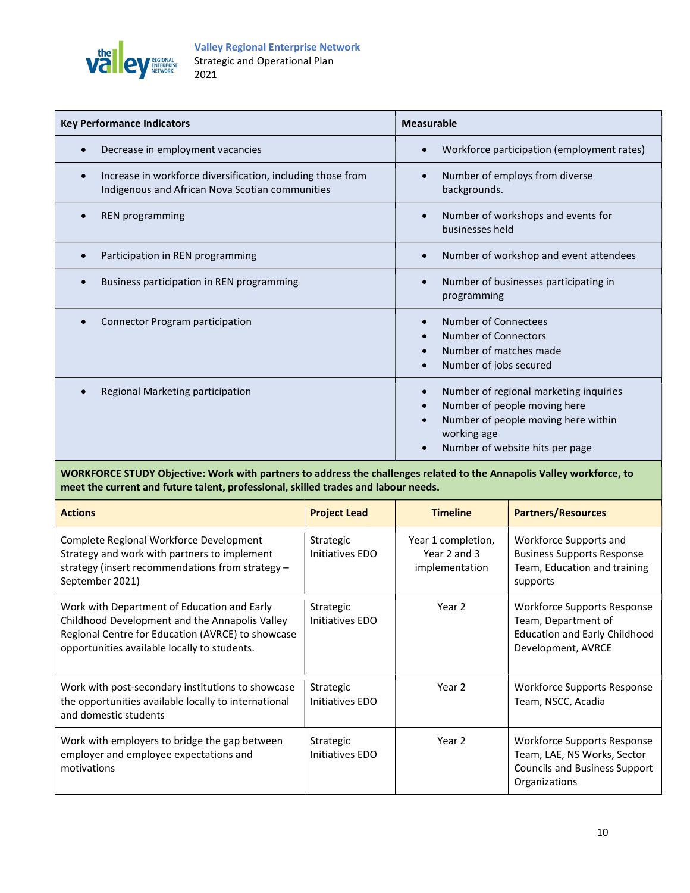

| <b>Key Performance Indicators</b>                                                                              | <b>Measurable</b>                                                                                                                                                                                      |
|----------------------------------------------------------------------------------------------------------------|--------------------------------------------------------------------------------------------------------------------------------------------------------------------------------------------------------|
| Decrease in employment vacancies                                                                               | Workforce participation (employment rates)<br>$\bullet$                                                                                                                                                |
| Increase in workforce diversification, including those from<br>Indigenous and African Nova Scotian communities | Number of employs from diverse<br>$\bullet$<br>backgrounds.                                                                                                                                            |
| <b>REN</b> programming                                                                                         | Number of workshops and events for<br>$\bullet$<br>businesses held                                                                                                                                     |
| Participation in REN programming                                                                               | Number of workshop and event attendees<br>$\bullet$                                                                                                                                                    |
| Business participation in REN programming                                                                      | Number of businesses participating in<br>$\bullet$<br>programming                                                                                                                                      |
| Connector Program participation                                                                                | Number of Connectees<br>$\bullet$<br><b>Number of Connectors</b><br>$\bullet$<br>Number of matches made<br>$\bullet$<br>Number of jobs secured<br>$\bullet$                                            |
| Regional Marketing participation                                                                               | Number of regional marketing inquiries<br>$\bullet$<br>Number of people moving here<br>$\bullet$<br>Number of people moving here within<br>$\bullet$<br>working age<br>Number of website hits per page |

WORKFORCE STUDY Objective: Work with partners to address the challenges related to the Annapolis Valley workforce, to meet the current and future talent, professional, skilled trades and labour needs.

| <b>Actions</b>                                                                                                                                                                                     | <b>Project Lead</b>          | <b>Timeline</b>                                      | <b>Partners/Resources</b>                                                                                           |
|----------------------------------------------------------------------------------------------------------------------------------------------------------------------------------------------------|------------------------------|------------------------------------------------------|---------------------------------------------------------------------------------------------------------------------|
| Complete Regional Workforce Development<br>Strategy and work with partners to implement<br>strategy (insert recommendations from strategy -<br>September 2021)                                     | Strategic<br>Initiatives EDO | Year 1 completion,<br>Year 2 and 3<br>implementation | Workforce Supports and<br><b>Business Supports Response</b><br>Team, Education and training<br>supports             |
| Work with Department of Education and Early<br>Childhood Development and the Annapolis Valley<br>Regional Centre for Education (AVRCE) to showcase<br>opportunities available locally to students. | Strategic<br>Initiatives EDO | Year 2                                               | Workforce Supports Response<br>Team, Department of<br><b>Education and Early Childhood</b><br>Development, AVRCE    |
| Work with post-secondary institutions to showcase<br>the opportunities available locally to international<br>and domestic students                                                                 | Strategic<br>Initiatives EDO | Year 2                                               | Workforce Supports Response<br>Team, NSCC, Acadia                                                                   |
| Work with employers to bridge the gap between<br>employer and employee expectations and<br>motivations                                                                                             | Strategic<br>Initiatives EDO | Year 2                                               | Workforce Supports Response<br>Team, LAE, NS Works, Sector<br><b>Councils and Business Support</b><br>Organizations |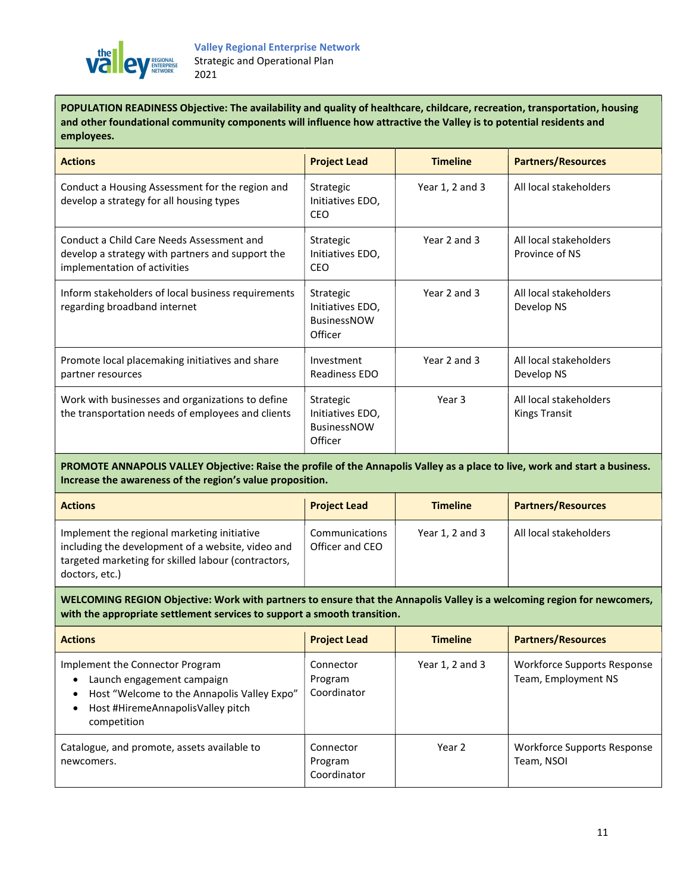

POPULATION READINESS Objective: The availability and quality of healthcare, childcare, recreation, transportation, housing and other foundational community components will influence how attractive the Valley is to potential residents and employees.

| <b>Actions</b>                                                                                                                | <b>Project Lead</b>                                            | <b>Timeline</b> | <b>Partners/Resources</b>                      |
|-------------------------------------------------------------------------------------------------------------------------------|----------------------------------------------------------------|-----------------|------------------------------------------------|
| Conduct a Housing Assessment for the region and<br>develop a strategy for all housing types                                   | Strategic<br>Initiatives EDO,<br><b>CEO</b>                    | Year 1, 2 and 3 | All local stakeholders                         |
| Conduct a Child Care Needs Assessment and<br>develop a strategy with partners and support the<br>implementation of activities | Strategic<br>Initiatives EDO,<br><b>CEO</b>                    | Year 2 and 3    | All local stakeholders<br>Province of NS       |
| Inform stakeholders of local business requirements<br>regarding broadband internet                                            | Strategic<br>Initiatives EDO,<br><b>BusinessNOW</b><br>Officer | Year 2 and 3    | All local stakeholders<br>Develop NS           |
| Promote local placemaking initiatives and share<br>partner resources                                                          | Investment<br>Readiness EDO                                    | Year 2 and 3    | All local stakeholders<br>Develop NS           |
| Work with businesses and organizations to define<br>the transportation needs of employees and clients                         | Strategic<br>Initiatives EDO,<br><b>BusinessNOW</b><br>Officer | Year 3          | All local stakeholders<br><b>Kings Transit</b> |

PROMOTE ANNAPOLIS VALLEY Objective: Raise the profile of the Annapolis Valley as a place to live, work and start a business. Increase the awareness of the region's value proposition.

| <b>Actions</b>                                                                                                                                                            | <b>Project Lead</b>               | <b>Timeline</b> | <b>Partners/Resources</b> |
|---------------------------------------------------------------------------------------------------------------------------------------------------------------------------|-----------------------------------|-----------------|---------------------------|
| Implement the regional marketing initiative<br>including the development of a website, video and<br>targeted marketing for skilled labour (contractors,<br>doctors, etc.) | Communications<br>Officer and CEO | Year 1, 2 and 3 | All local stakeholders    |

WELCOMING REGION Objective: Work with partners to ensure that the Annapolis Valley is a welcoming region for newcomers, with the appropriate settlement services to support a smooth transition.

| <b>Actions</b>                                                                                                                                                   | <b>Project Lead</b>                 | <b>Timeline</b>     | <b>Partners/Resources</b>                          |
|------------------------------------------------------------------------------------------------------------------------------------------------------------------|-------------------------------------|---------------------|----------------------------------------------------|
| Implement the Connector Program<br>Launch engagement campaign<br>Host "Welcome to the Annapolis Valley Expo"<br>Host #HiremeAnnapolisValley pitch<br>competition | Connector<br>Program<br>Coordinator | Year $1, 2$ and $3$ | Workforce Supports Response<br>Team, Employment NS |
| Catalogue, and promote, assets available to<br>newcomers.                                                                                                        | Connector<br>Program<br>Coordinator | Year 2              | Workforce Supports Response<br>Team, NSOI          |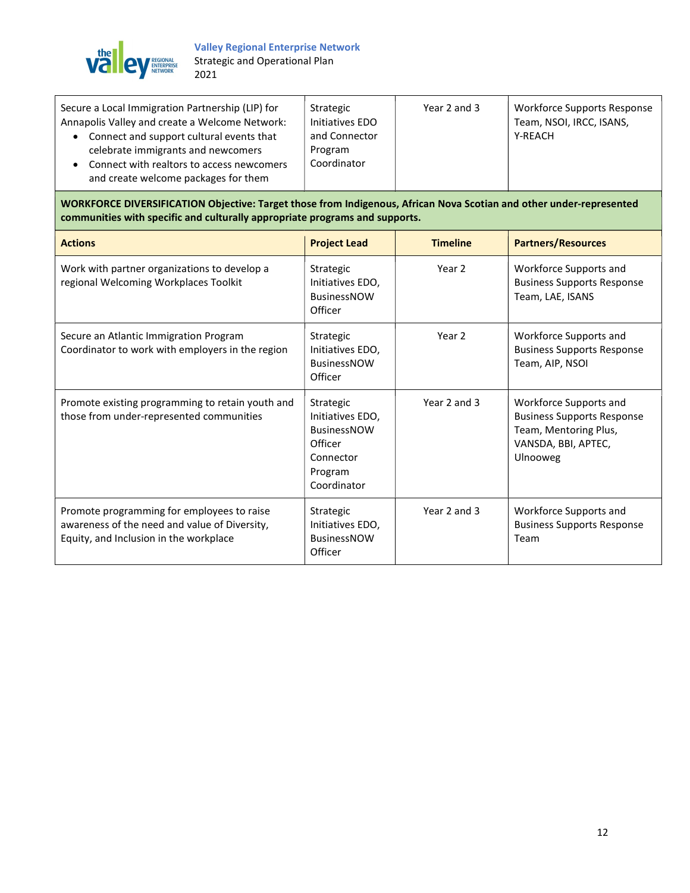

| Secure a Local Immigration Partnership (LIP) for                                                                                                                    | Strategic                               | Year 2 and 3 | <b>Workforce Supports Response</b> |
|---------------------------------------------------------------------------------------------------------------------------------------------------------------------|-----------------------------------------|--------------|------------------------------------|
| Annapolis Valley and create a Welcome Network:                                                                                                                      | Initiatives EDO                         |              | Team, NSOI, IRCC, ISANS,           |
| Connect and support cultural events that<br>celebrate immigrants and newcomers<br>Connect with realtors to access newcomers<br>and create welcome packages for them | and Connector<br>Program<br>Coordinator |              | Y-REACH                            |

WORKFORCE DIVERSIFICATION Objective: Target those from Indigenous, African Nova Scotian and other under-represented communities with specific and culturally appropriate programs and supports.

| <b>Actions</b>                                                                                                                        | <b>Project Lead</b>                                                                                   | <b>Timeline</b> | <b>Partners/Resources</b>                                                                                                      |
|---------------------------------------------------------------------------------------------------------------------------------------|-------------------------------------------------------------------------------------------------------|-----------------|--------------------------------------------------------------------------------------------------------------------------------|
| Work with partner organizations to develop a<br>regional Welcoming Workplaces Toolkit                                                 | Strategic<br>Initiatives EDO,<br><b>BusinessNOW</b><br>Officer                                        | Year 2          | Workforce Supports and<br><b>Business Supports Response</b><br>Team, LAE, ISANS                                                |
| Secure an Atlantic Immigration Program<br>Coordinator to work with employers in the region                                            | Strategic<br>Initiatives EDO,<br><b>BusinessNOW</b><br>Officer                                        | Year 2          | Workforce Supports and<br><b>Business Supports Response</b><br>Team, AIP, NSOI                                                 |
| Promote existing programming to retain youth and<br>those from under-represented communities                                          | Strategic<br>Initiatives EDO,<br><b>BusinessNOW</b><br>Officer<br>Connector<br>Program<br>Coordinator | Year 2 and 3    | Workforce Supports and<br><b>Business Supports Response</b><br>Team, Mentoring Plus,<br>VANSDA, BBI, APTEC,<br><b>Ulnooweg</b> |
| Promote programming for employees to raise<br>awareness of the need and value of Diversity,<br>Equity, and Inclusion in the workplace | Strategic<br>Initiatives EDO,<br><b>BusinessNOW</b><br>Officer                                        | Year 2 and 3    | Workforce Supports and<br><b>Business Supports Response</b><br>Team                                                            |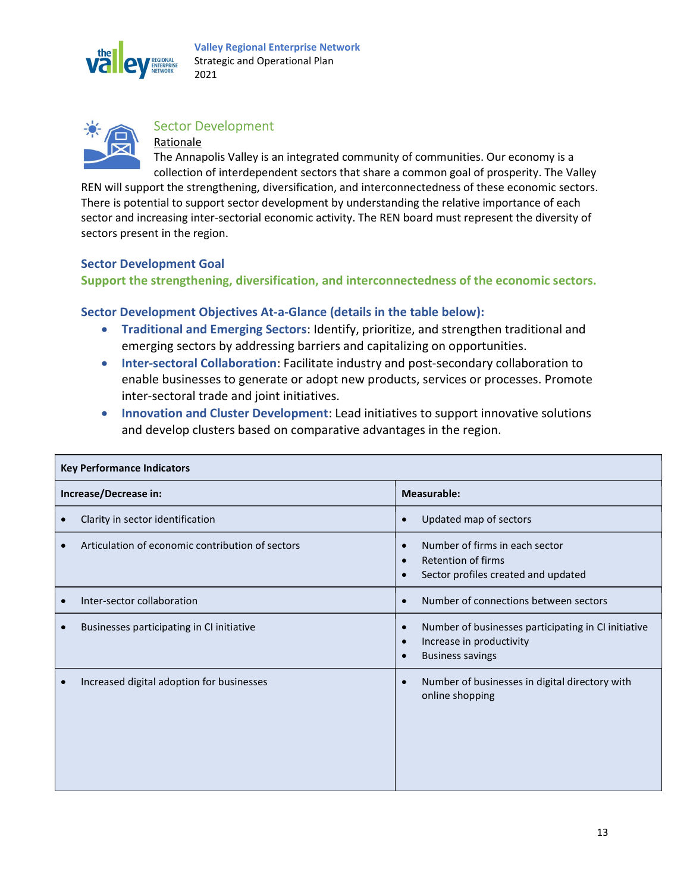



#### Sector Development

Rationale The Annapolis Valley is an integrated community of communities. Our economy is a collection of interdependent sectors that share a common goal of prosperity. The Valley

REN will support the strengthening, diversification, and interconnectedness of these economic sectors. There is potential to support sector development by understanding the relative importance of each sector and increasing inter-sectorial economic activity. The REN board must represent the diversity of sectors present in the region.

#### Sector Development Goal

Support the strengthening, diversification, and interconnectedness of the economic sectors.

#### Sector Development Objectives At-a-Glance (details in the table below):

- Traditional and Emerging Sectors: Identify, prioritize, and strengthen traditional and emerging sectors by addressing barriers and capitalizing on opportunities.
- Inter-sectoral Collaboration: Facilitate industry and post-secondary collaboration to enable businesses to generate or adopt new products, services or processes. Promote inter-sectoral trade and joint initiatives.
- Innovation and Cluster Development: Lead initiatives to support innovative solutions and develop clusters based on comparative advantages in the region.

| <b>Key Performance Indicators</b>                      |                                                                                                                                                   |  |  |
|--------------------------------------------------------|---------------------------------------------------------------------------------------------------------------------------------------------------|--|--|
| Increase/Decrease in:                                  | Measurable:                                                                                                                                       |  |  |
| Clarity in sector identification<br>$\bullet$          | Updated map of sectors<br>$\bullet$                                                                                                               |  |  |
| Articulation of economic contribution of sectors       | Number of firms in each sector<br>$\bullet$<br>Retention of firms<br>$\bullet$<br>Sector profiles created and updated<br>$\bullet$                |  |  |
| Inter-sector collaboration<br>$\bullet$                | Number of connections between sectors<br>$\bullet$                                                                                                |  |  |
| Businesses participating in CI initiative<br>$\bullet$ | Number of businesses participating in CI initiative<br>$\bullet$<br>Increase in productivity<br>$\bullet$<br><b>Business savings</b><br>$\bullet$ |  |  |
| Increased digital adoption for businesses<br>$\bullet$ | Number of businesses in digital directory with<br>$\bullet$<br>online shopping                                                                    |  |  |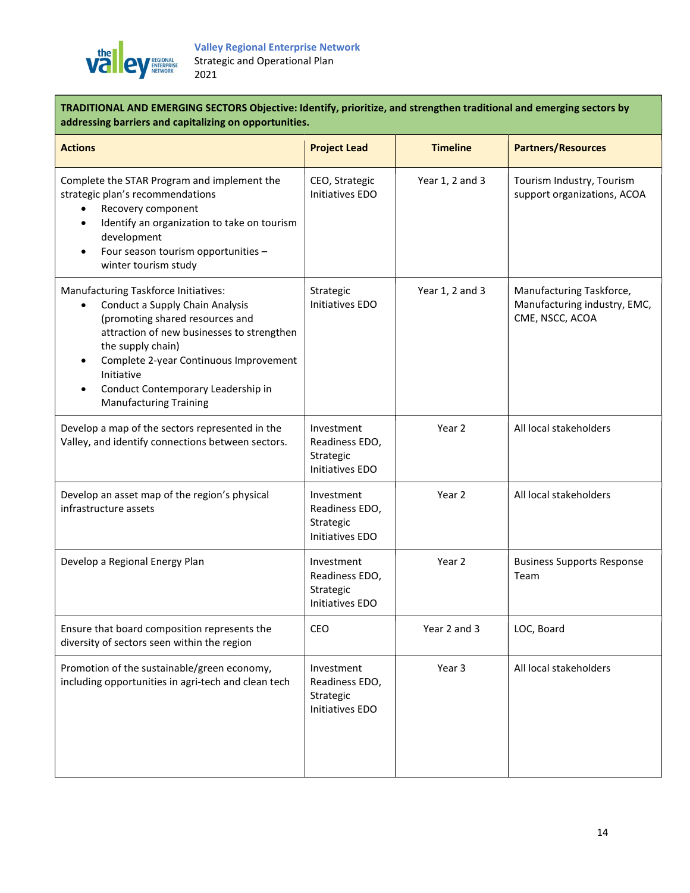

TRADITIONAL AND EMERGING SECTORS Objective: Identify, prioritize, and strengthen traditional and emerging sectors by addressing barriers and capitalizing on opportunities.

| <b>Actions</b>                                                                                                                                                                                                                                                                                                                                      | <b>Project Lead</b>                                          | <b>Timeline</b> | <b>Partners/Resources</b>                                                   |
|-----------------------------------------------------------------------------------------------------------------------------------------------------------------------------------------------------------------------------------------------------------------------------------------------------------------------------------------------------|--------------------------------------------------------------|-----------------|-----------------------------------------------------------------------------|
| Complete the STAR Program and implement the<br>strategic plan's recommendations<br>Recovery component<br>Identify an organization to take on tourism<br>$\bullet$<br>development<br>Four season tourism opportunities -<br>$\bullet$<br>winter tourism study                                                                                        | CEO, Strategic<br>Initiatives EDO                            | Year 1, 2 and 3 | Tourism Industry, Tourism<br>support organizations, ACOA                    |
| Manufacturing Taskforce Initiatives:<br>Conduct a Supply Chain Analysis<br>$\bullet$<br>(promoting shared resources and<br>attraction of new businesses to strengthen<br>the supply chain)<br>Complete 2-year Continuous Improvement<br>$\bullet$<br>Initiative<br>Conduct Contemporary Leadership in<br>$\bullet$<br><b>Manufacturing Training</b> | Strategic<br>Initiatives EDO                                 | Year 1, 2 and 3 | Manufacturing Taskforce,<br>Manufacturing industry, EMC,<br>CME, NSCC, ACOA |
| Develop a map of the sectors represented in the<br>Valley, and identify connections between sectors.                                                                                                                                                                                                                                                | Investment<br>Readiness EDO,<br>Strategic<br>Initiatives EDO | Year 2          | All local stakeholders                                                      |
| Develop an asset map of the region's physical<br>infrastructure assets                                                                                                                                                                                                                                                                              | Investment<br>Readiness EDO,<br>Strategic<br>Initiatives EDO | Year 2          | All local stakeholders                                                      |
| Develop a Regional Energy Plan                                                                                                                                                                                                                                                                                                                      | Investment<br>Readiness EDO,<br>Strategic<br>Initiatives EDO | Year 2          | <b>Business Supports Response</b><br>Team                                   |
| Ensure that board composition represents the<br>diversity of sectors seen within the region                                                                                                                                                                                                                                                         | <b>CEO</b>                                                   | Year 2 and 3    | LOC, Board                                                                  |
| Promotion of the sustainable/green economy,<br>including opportunities in agri-tech and clean tech                                                                                                                                                                                                                                                  | Investment<br>Readiness EDO,<br>Strategic<br>Initiatives EDO | Year 3          | All local stakeholders                                                      |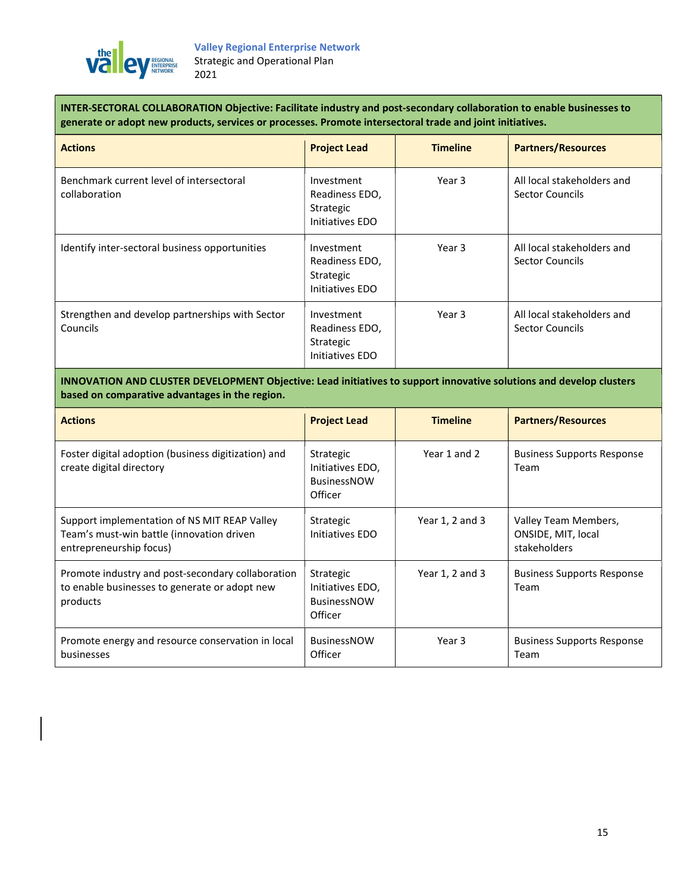

INTER-SECTORAL COLLABORATION Objective: Facilitate industry and post-secondary collaboration to enable businesses to generate or adopt new products, services or processes. Promote intersectoral trade and joint initiatives.

| <b>Actions</b>                                              | <b>Project Lead</b>                                          | <b>Timeline</b> | <b>Partners/Resources</b>                     |
|-------------------------------------------------------------|--------------------------------------------------------------|-----------------|-----------------------------------------------|
| Benchmark current level of intersectoral<br>collaboration   | Investment<br>Readiness EDO,<br>Strategic<br>Initiatives EDO | Year 3          | All local stakeholders and<br>Sector Councils |
| Identify inter-sectoral business opportunities              | Investment<br>Readiness EDO,<br>Strategic<br>Initiatives EDO | Year 3          | All local stakeholders and<br>Sector Councils |
| Strengthen and develop partnerships with Sector<br>Councils | Investment<br>Readiness EDO,<br>Strategic<br>Initiatives EDO | Year 3          | All local stakeholders and<br>Sector Councils |

INNOVATION AND CLUSTER DEVELOPMENT Objective: Lead initiatives to support innovative solutions and develop clusters based on comparative advantages in the region.

| <b>Actions</b>                                                                                                       | <b>Project Lead</b>                                            | <b>Timeline</b> | <b>Partners/Resources</b>                                  |
|----------------------------------------------------------------------------------------------------------------------|----------------------------------------------------------------|-----------------|------------------------------------------------------------|
| Foster digital adoption (business digitization) and<br>create digital directory                                      | Strategic<br>Initiatives EDO,<br><b>BusinessNOW</b><br>Officer | Year 1 and 2    | <b>Business Supports Response</b><br>Team                  |
| Support implementation of NS MIT REAP Valley<br>Team's must-win battle (innovation driven<br>entrepreneurship focus) | Strategic<br>Initiatives EDO                                   | Year 1, 2 and 3 | Valley Team Members,<br>ONSIDE, MIT, local<br>stakeholders |
| Promote industry and post-secondary collaboration<br>to enable businesses to generate or adopt new<br>products       | Strategic<br>Initiatives EDO,<br><b>BusinessNOW</b><br>Officer | Year 1, 2 and 3 | <b>Business Supports Response</b><br>Team                  |
| Promote energy and resource conservation in local<br>businesses                                                      | <b>BusinessNOW</b><br>Officer                                  | Year 3          | <b>Business Supports Response</b><br>Team                  |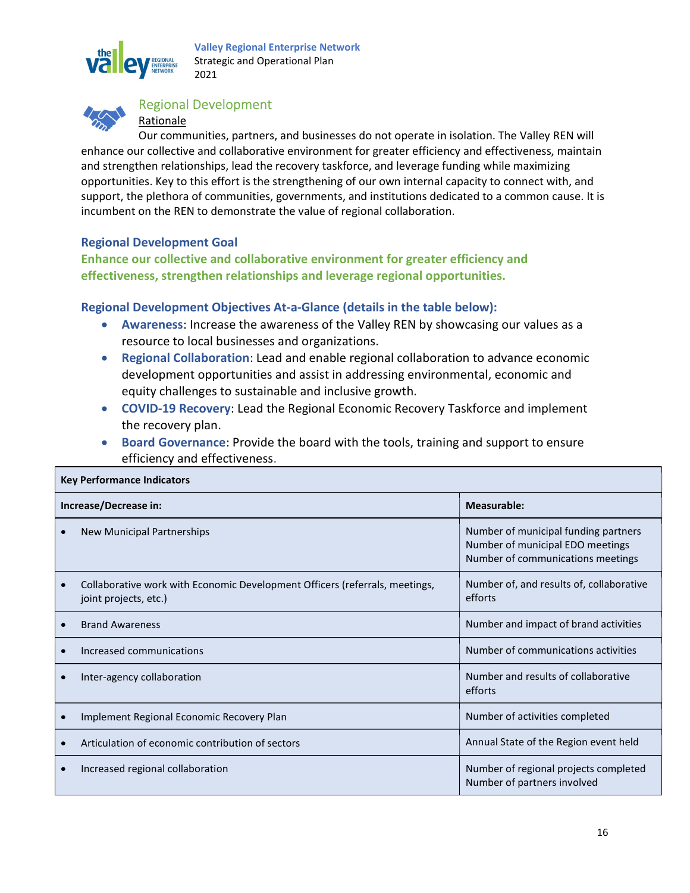

Valley Regional Enterprise Network Strategic and Operational Plan 2021



#### Regional Development

#### Rationale

Our communities, partners, and businesses do not operate in isolation. The Valley REN will enhance our collective and collaborative environment for greater efficiency and effectiveness, maintain and strengthen relationships, lead the recovery taskforce, and leverage funding while maximizing opportunities. Key to this effort is the strengthening of our own internal capacity to connect with, and support, the plethora of communities, governments, and institutions dedicated to a common cause. It is incumbent on the REN to demonstrate the value of regional collaboration.

#### Regional Development Goal

Enhance our collective and collaborative environment for greater efficiency and effectiveness, strengthen relationships and leverage regional opportunities.

#### Regional Development Objectives At-a-Glance (details in the table below):

- Awareness: Increase the awareness of the Valley REN by showcasing our values as a resource to local businesses and organizations.
- Regional Collaboration: Lead and enable regional collaboration to advance economic development opportunities and assist in addressing environmental, economic and equity challenges to sustainable and inclusive growth.
- COVID-19 Recovery: Lead the Regional Economic Recovery Taskforce and implement the recovery plan.
- Board Governance: Provide the board with the tools, training and support to ensure efficiency and effectiveness.

| <b>Key Performance Indicators</b> |                                                                                                      |                                                                                                               |
|-----------------------------------|------------------------------------------------------------------------------------------------------|---------------------------------------------------------------------------------------------------------------|
|                                   | Increase/Decrease in:                                                                                | Measurable:                                                                                                   |
|                                   | New Municipal Partnerships                                                                           | Number of municipal funding partners<br>Number of municipal EDO meetings<br>Number of communications meetings |
| $\bullet$                         | Collaborative work with Economic Development Officers (referrals, meetings,<br>joint projects, etc.) | Number of, and results of, collaborative<br>efforts                                                           |
|                                   | <b>Brand Awareness</b>                                                                               | Number and impact of brand activities                                                                         |
|                                   | Increased communications                                                                             | Number of communications activities                                                                           |
|                                   | Inter-agency collaboration                                                                           | Number and results of collaborative<br>efforts                                                                |
|                                   | Implement Regional Economic Recovery Plan                                                            | Number of activities completed                                                                                |
|                                   | Articulation of economic contribution of sectors                                                     | Annual State of the Region event held                                                                         |
|                                   | Increased regional collaboration                                                                     | Number of regional projects completed<br>Number of partners involved                                          |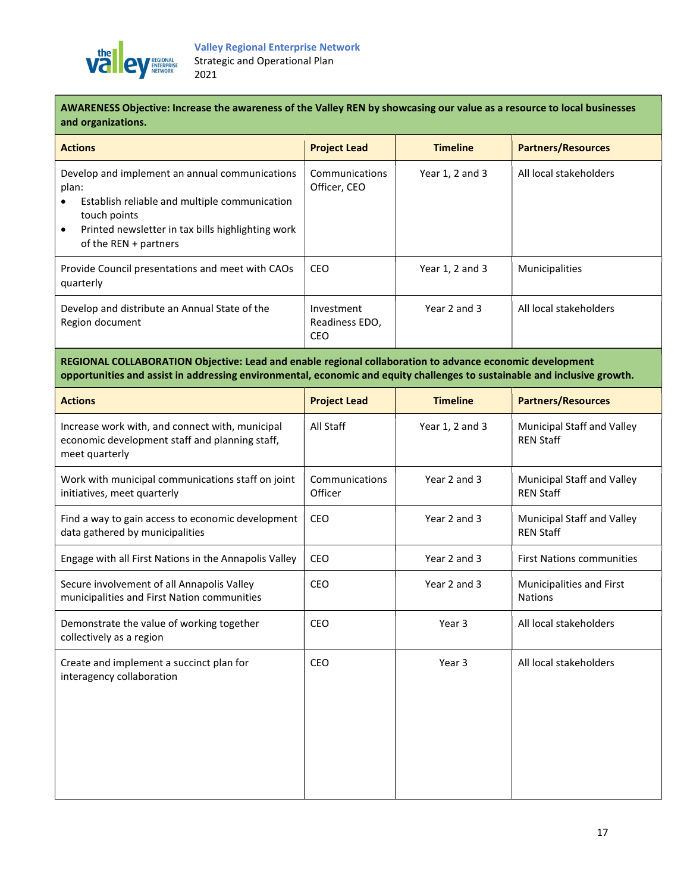

AWARENESS Objective: Increase the awareness of the Valley REN by showcasing our value as a resource to local businesses and organizations.

| <b>Actions</b>                                                                                                                                                                                                        | <b>Project Lead</b>                        | <b>Timeline</b> | <b>Partners/Resources</b> |
|-----------------------------------------------------------------------------------------------------------------------------------------------------------------------------------------------------------------------|--------------------------------------------|-----------------|---------------------------|
| Develop and implement an annual communications<br>plan:<br>Establish reliable and multiple communication<br>touch points<br>Printed newsletter in tax bills highlighting work<br>$\bullet$<br>of the REN $+$ partners | Communications<br>Officer, CEO             | Year 1, 2 and 3 | All local stakeholders    |
| Provide Council presentations and meet with CAOs<br>quarterly                                                                                                                                                         | <b>CEO</b>                                 | Year 1, 2 and 3 | <b>Municipalities</b>     |
| Develop and distribute an Annual State of the<br>Region document                                                                                                                                                      | Investment<br>Readiness EDO,<br><b>CEO</b> | Year 2 and 3    | All local stakeholders    |

REGIONAL COLLABORATION Objective: Lead and enable regional collaboration to advance economic development opportunities and assist in addressing environmental, economic and equity challenges to sustainable and inclusive growth.

| <b>Actions</b>                                                                                                      | <b>Project Lead</b>       | <b>Timeline</b>   | <b>Partners/Resources</b>                      |
|---------------------------------------------------------------------------------------------------------------------|---------------------------|-------------------|------------------------------------------------|
| Increase work with, and connect with, municipal<br>economic development staff and planning staff,<br>meet quarterly | All Staff                 | Year 1, 2 and 3   | Municipal Staff and Valley<br><b>REN Staff</b> |
| Work with municipal communications staff on joint<br>initiatives, meet quarterly                                    | Communications<br>Officer | Year 2 and 3      | Municipal Staff and Valley<br><b>REN Staff</b> |
| Find a way to gain access to economic development<br>data gathered by municipalities                                | CEO                       | Year 2 and 3      | Municipal Staff and Valley<br><b>REN Staff</b> |
| Engage with all First Nations in the Annapolis Valley                                                               | <b>CEO</b>                | Year 2 and 3      | <b>First Nations communities</b>               |
| Secure involvement of all Annapolis Valley<br>municipalities and First Nation communities                           | <b>CEO</b>                | Year 2 and 3      | Municipalities and First<br><b>Nations</b>     |
| Demonstrate the value of working together<br>collectively as a region                                               | <b>CEO</b>                | Year <sub>3</sub> | All local stakeholders                         |
| Create and implement a succinct plan for<br>interagency collaboration                                               | CEO                       | Year 3            | All local stakeholders                         |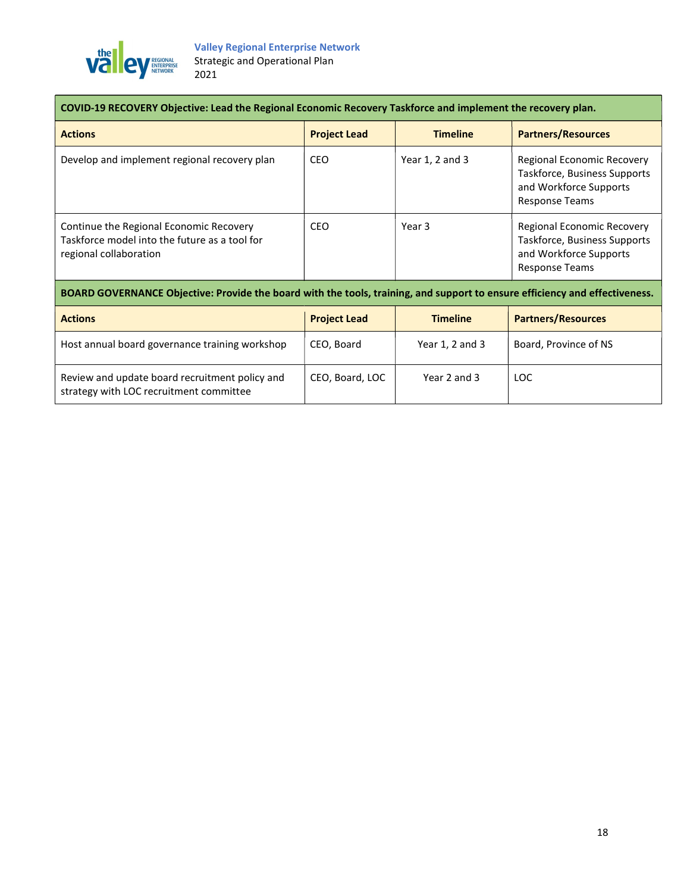

| COVID-19 RECOVERY Objective: Lead the Regional Economic Recovery Taskforce and implement the recovery plan.                 |                     |                 |                                                                                                               |
|-----------------------------------------------------------------------------------------------------------------------------|---------------------|-----------------|---------------------------------------------------------------------------------------------------------------|
| <b>Actions</b>                                                                                                              | <b>Project Lead</b> | <b>Timeline</b> | <b>Partners/Resources</b>                                                                                     |
| Develop and implement regional recovery plan                                                                                | <b>CEO</b>          | Year 1, 2 and 3 | Regional Economic Recovery<br>Taskforce, Business Supports<br>and Workforce Supports<br><b>Response Teams</b> |
| Continue the Regional Economic Recovery<br>Taskforce model into the future as a tool for<br>regional collaboration          | CEO                 | Year 3          | Regional Economic Recovery<br>Taskforce, Business Supports<br>and Workforce Supports<br><b>Response Teams</b> |
| BOARD GOVERNANCE Objective: Provide the board with the tools, training, and support to ensure efficiency and effectiveness. |                     |                 |                                                                                                               |
| <b>Actions</b>                                                                                                              | <b>Project Lead</b> | <b>Timeline</b> | <b>Partners/Resources</b>                                                                                     |
| Host annual board governance training workshop                                                                              | CEO, Board          | Year 1, 2 and 3 | Board, Province of NS                                                                                         |
| Review and update board recruitment policy and<br>strategy with LOC recruitment committee                                   | CEO, Board, LOC     | Year 2 and 3    | <b>LOC</b>                                                                                                    |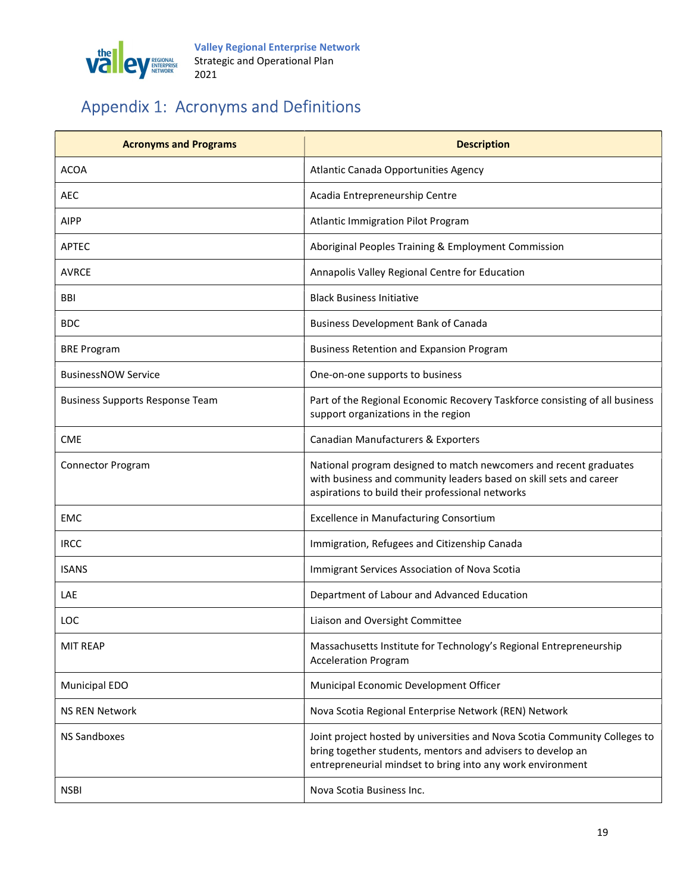

# Appendix 1: Acronyms and Definitions

| <b>Acronyms and Programs</b>           | <b>Description</b>                                                                                                                                                                                      |
|----------------------------------------|---------------------------------------------------------------------------------------------------------------------------------------------------------------------------------------------------------|
| <b>ACOA</b>                            | Atlantic Canada Opportunities Agency                                                                                                                                                                    |
| AEC                                    | Acadia Entrepreneurship Centre                                                                                                                                                                          |
| AIPP                                   | Atlantic Immigration Pilot Program                                                                                                                                                                      |
| <b>APTEC</b>                           | Aboriginal Peoples Training & Employment Commission                                                                                                                                                     |
| <b>AVRCE</b>                           | Annapolis Valley Regional Centre for Education                                                                                                                                                          |
| <b>BBI</b>                             | <b>Black Business Initiative</b>                                                                                                                                                                        |
| <b>BDC</b>                             | <b>Business Development Bank of Canada</b>                                                                                                                                                              |
| <b>BRE Program</b>                     | <b>Business Retention and Expansion Program</b>                                                                                                                                                         |
| <b>BusinessNOW Service</b>             | One-on-one supports to business                                                                                                                                                                         |
| <b>Business Supports Response Team</b> | Part of the Regional Economic Recovery Taskforce consisting of all business<br>support organizations in the region                                                                                      |
| <b>CME</b>                             | Canadian Manufacturers & Exporters                                                                                                                                                                      |
| <b>Connector Program</b>               | National program designed to match newcomers and recent graduates<br>with business and community leaders based on skill sets and career<br>aspirations to build their professional networks             |
| EMC                                    | <b>Excellence in Manufacturing Consortium</b>                                                                                                                                                           |
| <b>IRCC</b>                            | Immigration, Refugees and Citizenship Canada                                                                                                                                                            |
| <b>ISANS</b>                           | Immigrant Services Association of Nova Scotia                                                                                                                                                           |
| LAE                                    | Department of Labour and Advanced Education                                                                                                                                                             |
| LOC                                    | Liaison and Oversight Committee                                                                                                                                                                         |
| <b>MIT REAP</b>                        | Massachusetts Institute for Technology's Regional Entrepreneurship<br><b>Acceleration Program</b>                                                                                                       |
| <b>Municipal EDO</b>                   | Municipal Economic Development Officer                                                                                                                                                                  |
| <b>NS REN Network</b>                  | Nova Scotia Regional Enterprise Network (REN) Network                                                                                                                                                   |
| <b>NS Sandboxes</b>                    | Joint project hosted by universities and Nova Scotia Community Colleges to<br>bring together students, mentors and advisers to develop an<br>entrepreneurial mindset to bring into any work environment |
| <b>NSBI</b>                            | Nova Scotia Business Inc.                                                                                                                                                                               |